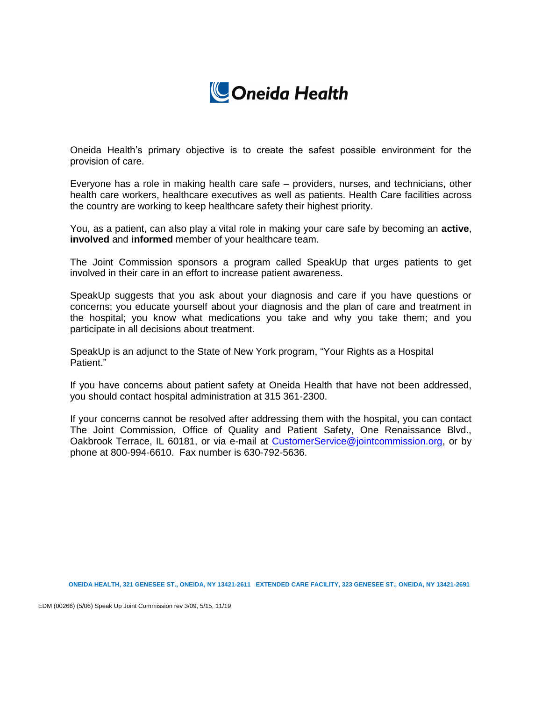

Oneida Health's primary objective is to create the safest possible environment for the provision of care.

Everyone has a role in making health care safe – providers, nurses, and technicians, other health care workers, healthcare executives as well as patients. Health Care facilities across the country are working to keep healthcare safety their highest priority.

You, as a patient, can also play a vital role in making your care safe by becoming an **active**, **involved** and **informed** member of your healthcare team.

The Joint Commission sponsors a program called SpeakUp that urges patients to get involved in their care in an effort to increase patient awareness.

SpeakUp suggests that you ask about your diagnosis and care if you have questions or concerns; you educate yourself about your diagnosis and the plan of care and treatment in the hospital; you know what medications you take and why you take them; and you participate in all decisions about treatment.

SpeakUp is an adjunct to the State of New York program, "Your Rights as a Hospital Patient."

If you have concerns about patient safety at Oneida Health that have not been addressed, you should contact hospital administration at 315 361-2300.

If your concerns cannot be resolved after addressing them with the hospital, you can contact The Joint Commission, Office of Quality and Patient Safety, One Renaissance Blvd., Oakbrook Terrace, IL 60181, or via e-mail at [CustomerService@jointcommission.org,](mailto:CustomerService@jointcommission.org) or by phone at 800-994-6610. Fax number is 630-792-5636.

**ONEIDA HEALTH, 321 GENESEE ST., ONEIDA, NY 13421-2611 EXTENDED CARE FACILITY, 323 GENESEE ST., ONEIDA, NY 13421-2691**

EDM (00266) (5/06) Speak Up Joint Commission rev 3/09, 5/15, 11/19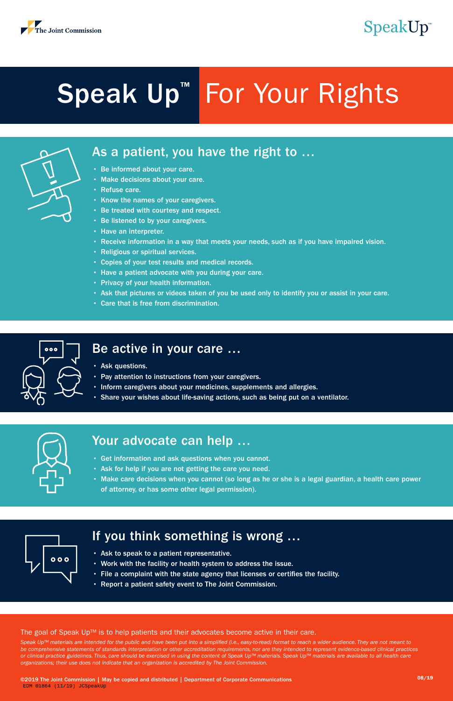

### As a patient, you have the right to …

- Be informed about your care.
- Make decisions about your care.
- Refuse care.
- Know the names of your caregivers.
- Be treated with courtesy and respect.
- Be listened to by your caregivers.
- Have an interpreter.
- Receive information in a way that meets your needs, such as if you have impaired vision.
- Religious or spiritual services.
- Copies of your test results and medical records.
- Have a patient advocate with you during your care.
- Privacy of your health information.
- Ask that pictures or videos taken of you be used only to identify you or assist in your care.
- Care that is free from discrimination.



### Be active in your care …

- Ask questions.
- Pay attention to instructions from your caregivers.
- Inform caregivers about your medicines, supplements and allergies.
- Share your wishes about life-saving actions, such as being put on a ventilator.



### Your advocate can help …

- Get information and ask questions when you cannot.
- Ask for help if you are not getting the care you need.
- Make care decisions when you cannot (so long as he or she is a legal guardian, a health care power of attorney, or has some other legal permission).



### If you think something is wrong …

- Ask to speak to a patient representative.
- Work with the facility or health system to address the issue.
- File a complaint with the state agency that licenses or certifies the facility.
- Report a patient safety event to The Joint Commission.

#### The goal of Speak Up™ is to help patients and their advocates become active in their care.

*Speak Up™ materials are intended for the public and have been put into a simplified (i.e., easy-to-read) format to reach a wider audience. They are not meant to be comprehensive statements of standards interpretation or other accreditation requirements, nor are they intended to represent evidence-based clinical practices or clinical practice guidelines. Thus, care should be exercised in using the content of Speak Up™ materials. Speak Up™ materials are available to all health care organizations; their use does not indicate that an organization is accredited by The Joint Commission.*

©2019 The Joint Commission | May be copied and distributed | Department of Corporate Communications 08/19 EDM 01864 (11/19) JCSpeakUp

# Speak Up™ For Your Rights